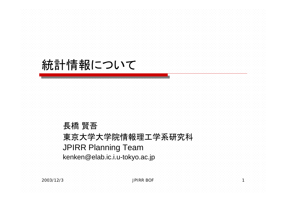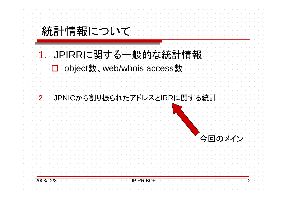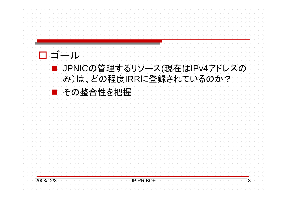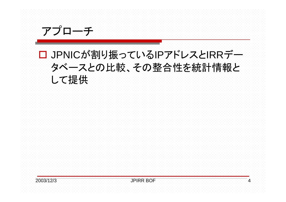## □ JPNICが割り振っているIPアドレスとIRRデー タベースとの比較、その整合性を統計情報と して提供



アプローチ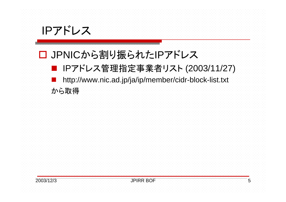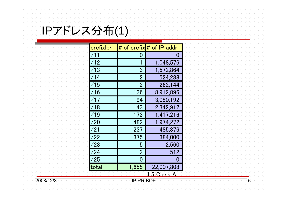IPアドレス分布(1)

| <u> prefixlen</u> |                | # of prefix # of IP addr |  |
|-------------------|----------------|--------------------------|--|
|                   |                | O                        |  |
| $^{\prime}$ 12    |                | 1,048,576                |  |
| 13                | 3              | 1,572,864                |  |
| 14                | $\overline{2}$ | 524,288                  |  |
| 15                | $\overline{2}$ | 262,144                  |  |
| 16                | 136            | 8,912,896                |  |
|                   | 94             | 3,080,192                |  |
| 18                | 143            | 2,342,912                |  |
| 19                | 173            | 1,417,216                |  |
| $^\prime 20$      | 482            | 1,974,272                |  |
| $^{\prime}$ 21    | 237            | 485,376                  |  |
| $^{\prime}22$     | 375            | 384,000                  |  |
| $^{\prime}23$     | 5              | 2,560                    |  |
| $^{\prime}$ 24    | $\overline{2}$ | 512                      |  |
| /25               | 0              | O                        |  |
| total             | 1,655          | 22,007,808               |  |
| 5 Class A         |                |                          |  |

2003/12/3 **JPIRR BOF 6** 6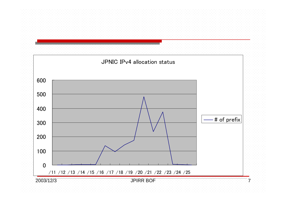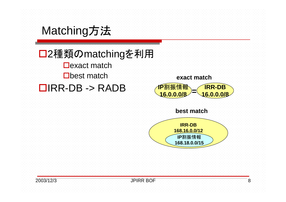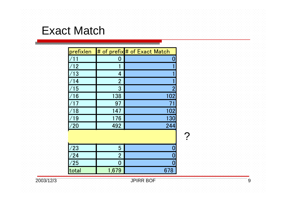## Exact Match

| prefixlen      |                | # of prefix # of Exact Match |
|----------------|----------------|------------------------------|
|                | 0              |                              |
| $\sqrt{12}$    |                |                              |
| $^{\prime}$ 13 | 4              |                              |
| $\overline{4}$ | $\overline{2}$ |                              |
| $^{\prime}$ 15 | 3              | 2                            |
| 16             | 138            | 102                          |
|                | 97             | 71                           |
| 18             | 147            | 102                          |
| 19             | 176            | 130                          |
| $^{\prime}20$  | 492            | 244                          |
| 1<br>9         | 237            |                              |
| 77             | 375            |                              |
| /23            | 5              |                              |
| /24            | $\overline{2}$ |                              |
| /25            | 0              |                              |
| total          | 1,679          | 678                          |

2003/12/3 JPIRR BOF 9

?

 $\overline{9}$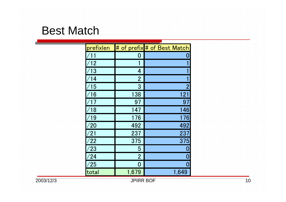## Best Match

| prefixlen      |                | # of prefix # of Best Match |
|----------------|----------------|-----------------------------|
|                | 0              | N                           |
| 12             |                |                             |
| $^\prime$ 13   | 4              |                             |
| ′14            | $\overline{2}$ |                             |
| 15             | 3              | 2                           |
| 16             | 138            | 121                         |
|                | 97             | 97                          |
| 18             | 147            | 146                         |
| $^{\prime}$ 19 | 176            | 176                         |
| /20            | 492            | 492                         |
| /21            | 237            | 237                         |
| /22            | 375            | 375                         |
| /23            | 5              | O                           |
| /24            | $\overline{2}$ | 0                           |
| /25            | 0              | 0                           |
| total          | 1,679          | 1,649                       |

2003/12/3 JPIRR BOF 10

 $\overline{10}$